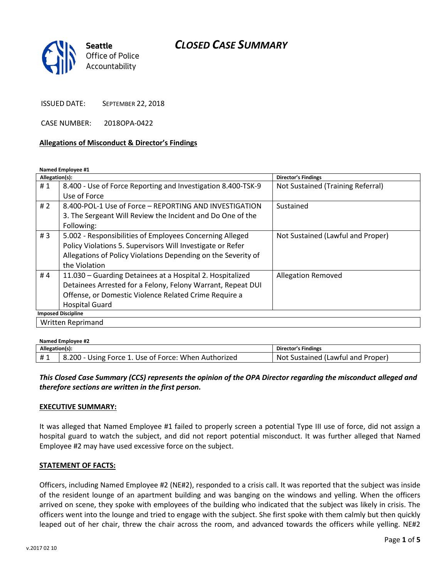

ISSUED DATE: SEPTEMBER 22, 2018

CASE NUMBER: 2018OPA-0422

#### **Allegations of Misconduct & Director's Findings**

**Named Employee #1**

| Allegation(s):            |                                                               | <b>Director's Findings</b>        |  |
|---------------------------|---------------------------------------------------------------|-----------------------------------|--|
| #1                        | 8.400 - Use of Force Reporting and Investigation 8.400-TSK-9  | Not Sustained (Training Referral) |  |
|                           | Use of Force                                                  |                                   |  |
| #2                        | 8.400-POL-1 Use of Force - REPORTING AND INVESTIGATION        | Sustained                         |  |
|                           | 3. The Sergeant Will Review the Incident and Do One of the    |                                   |  |
|                           | Following:                                                    |                                   |  |
| #3                        | 5.002 - Responsibilities of Employees Concerning Alleged      | Not Sustained (Lawful and Proper) |  |
|                           | Policy Violations 5. Supervisors Will Investigate or Refer    |                                   |  |
|                           | Allegations of Policy Violations Depending on the Severity of |                                   |  |
|                           | the Violation                                                 |                                   |  |
| #4                        | 11.030 – Guarding Detainees at a Hospital 2. Hospitalized     | <b>Allegation Removed</b>         |  |
|                           | Detainees Arrested for a Felony, Felony Warrant, Repeat DUI   |                                   |  |
|                           | Offense, or Domestic Violence Related Crime Require a         |                                   |  |
|                           | <b>Hospital Guard</b>                                         |                                   |  |
| <b>Imposed Discipline</b> |                                                               |                                   |  |
| Written Reprimand         |                                                               |                                   |  |

| Named Employee #2 |                                                      |                                   |  |
|-------------------|------------------------------------------------------|-----------------------------------|--|
| Allegation(s):    |                                                      | Director's Findings               |  |
|                   | 8.200 - Using Force 1. Use of Force: When Authorized | Not Sustained (Lawful and Proper) |  |

## *This Closed Case Summary (CCS) represents the opinion of the OPA Director regarding the misconduct alleged and therefore sections are written in the first person.*

#### **EXECUTIVE SUMMARY:**

It was alleged that Named Employee #1 failed to properly screen a potential Type III use of force, did not assign a hospital guard to watch the subject, and did not report potential misconduct. It was further alleged that Named Employee #2 may have used excessive force on the subject.

### **STATEMENT OF FACTS:**

Officers, including Named Employee #2 (NE#2), responded to a crisis call. It was reported that the subject was inside of the resident lounge of an apartment building and was banging on the windows and yelling. When the officers arrived on scene, they spoke with employees of the building who indicated that the subject was likely in crisis. The officers went into the lounge and tried to engage with the subject. She first spoke with them calmly but then quickly leaped out of her chair, threw the chair across the room, and advanced towards the officers while yelling. NE#2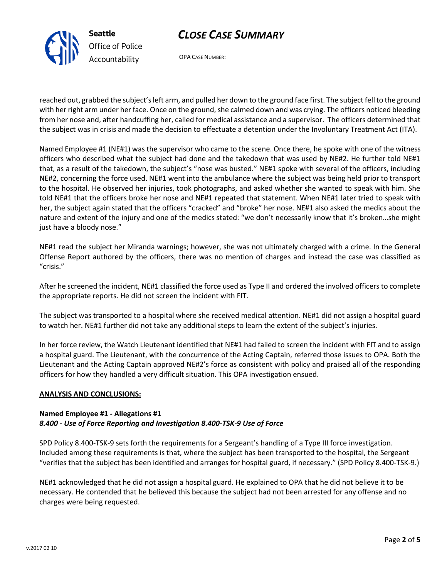

OPA CASE NUMBER:

reached out, grabbed the subject's left arm, and pulled her down to the ground face first. The subject fell to the ground with her right arm under her face. Once on the ground, she calmed down and was crying. The officers noticed bleeding from her nose and, after handcuffing her, called for medical assistance and a supervisor. The officers determined that the subject was in crisis and made the decision to effectuate a detention under the Involuntary Treatment Act (ITA).

Named Employee #1 (NE#1) was the supervisor who came to the scene. Once there, he spoke with one of the witness officers who described what the subject had done and the takedown that was used by NE#2. He further told NE#1 that, as a result of the takedown, the subject's "nose was busted." NE#1 spoke with several of the officers, including NE#2, concerning the force used. NE#1 went into the ambulance where the subject was being held prior to transport to the hospital. He observed her injuries, took photographs, and asked whether she wanted to speak with him. She told NE#1 that the officers broke her nose and NE#1 repeated that statement. When NE#1 later tried to speak with her, the subject again stated that the officers "cracked" and "broke" her nose. NE#1 also asked the medics about the nature and extent of the injury and one of the medics stated: "we don't necessarily know that it's broken…she might just have a bloody nose."

NE#1 read the subject her Miranda warnings; however, she was not ultimately charged with a crime. In the General Offense Report authored by the officers, there was no mention of charges and instead the case was classified as "crisis."

After he screened the incident, NE#1 classified the force used as Type II and ordered the involved officers to complete the appropriate reports. He did not screen the incident with FIT.

The subject was transported to a hospital where she received medical attention. NE#1 did not assign a hospital guard to watch her. NE#1 further did not take any additional steps to learn the extent of the subject's injuries.

In her force review, the Watch Lieutenant identified that NE#1 had failed to screen the incident with FIT and to assign a hospital guard. The Lieutenant, with the concurrence of the Acting Captain, referred those issues to OPA. Both the Lieutenant and the Acting Captain approved NE#2's force as consistent with policy and praised all of the responding officers for how they handled a very difficult situation. This OPA investigation ensued.

### **ANALYSIS AND CONCLUSIONS:**

## **Named Employee #1 - Allegations #1** *8.400 - Use of Force Reporting and Investigation 8.400-TSK-9 Use of Force*

SPD Policy 8.400-TSK-9 sets forth the requirements for a Sergeant's handling of a Type III force investigation. Included among these requirements is that, where the subject has been transported to the hospital, the Sergeant "verifies that the subject has been identified and arranges for hospital guard, if necessary." (SPD Policy 8.400-TSK-9.)

NE#1 acknowledged that he did not assign a hospital guard. He explained to OPA that he did not believe it to be necessary. He contended that he believed this because the subject had not been arrested for any offense and no charges were being requested.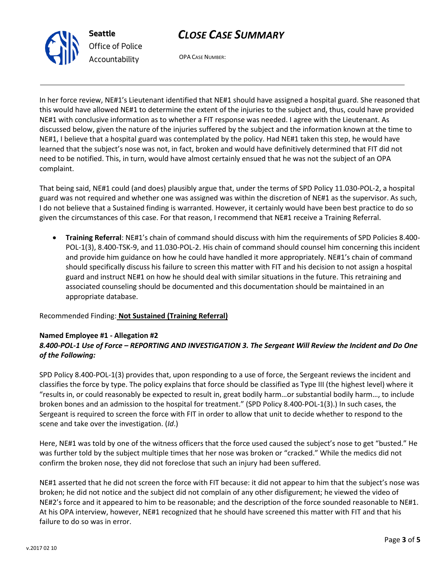

*Office of Police Accountability*

OPA CASE NUMBER:

In her force review, NE#1's Lieutenant identified that NE#1 should have assigned a hospital guard. She reasoned that this would have allowed NE#1 to determine the extent of the injuries to the subject and, thus, could have provided NE#1 with conclusive information as to whether a FIT response was needed. I agree with the Lieutenant. As discussed below, given the nature of the injuries suffered by the subject and the information known at the time to NE#1, I believe that a hospital guard was contemplated by the policy. Had NE#1 taken this step, he would have learned that the subject's nose was not, in fact, broken and would have definitively determined that FIT did not need to be notified. This, in turn, would have almost certainly ensued that he was not the subject of an OPA complaint.

That being said, NE#1 could (and does) plausibly argue that, under the terms of SPD Policy 11.030-POL-2, a hospital guard was not required and whether one was assigned was within the discretion of NE#1 as the supervisor. As such, I do not believe that a Sustained finding is warranted. However, it certainly would have been best practice to do so given the circumstances of this case. For that reason, I recommend that NE#1 receive a Training Referral.

 **Training Referral**: NE#1's chain of command should discuss with him the requirements of SPD Policies 8.400- POL-1(3), 8.400-TSK-9, and 11.030-POL-2. His chain of command should counsel him concerning this incident and provide him guidance on how he could have handled it more appropriately. NE#1's chain of command should specifically discuss his failure to screen this matter with FIT and his decision to not assign a hospital guard and instruct NE#1 on how he should deal with similar situations in the future. This retraining and associated counseling should be documented and this documentation should be maintained in an appropriate database.

Recommended Finding: **Not Sustained (Training Referral)**

## **Named Employee #1 - Allegation #2**

# *8.400-POL-1 Use of Force – REPORTING AND INVESTIGATION 3. The Sergeant Will Review the Incident and Do One of the Following:*

SPD Policy 8.400-POL-1(3) provides that, upon responding to a use of force, the Sergeant reviews the incident and classifies the force by type. The policy explains that force should be classified as Type III (the highest level) where it "results in, or could reasonably be expected to result in, great bodily harm…or substantial bodily harm…, to include broken bones and an admission to the hospital for treatment." (SPD Policy 8.400-POL-1(3).) In such cases, the Sergeant is required to screen the force with FIT in order to allow that unit to decide whether to respond to the scene and take over the investigation. (*Id*.)

Here, NE#1 was told by one of the witness officers that the force used caused the subject's nose to get "busted." He was further told by the subject multiple times that her nose was broken or "cracked." While the medics did not confirm the broken nose, they did not foreclose that such an injury had been suffered.

NE#1 asserted that he did not screen the force with FIT because: it did not appear to him that the subject's nose was broken; he did not notice and the subject did not complain of any other disfigurement; he viewed the video of NE#2's force and it appeared to him to be reasonable; and the description of the force sounded reasonable to NE#1. At his OPA interview, however, NE#1 recognized that he should have screened this matter with FIT and that his failure to do so was in error.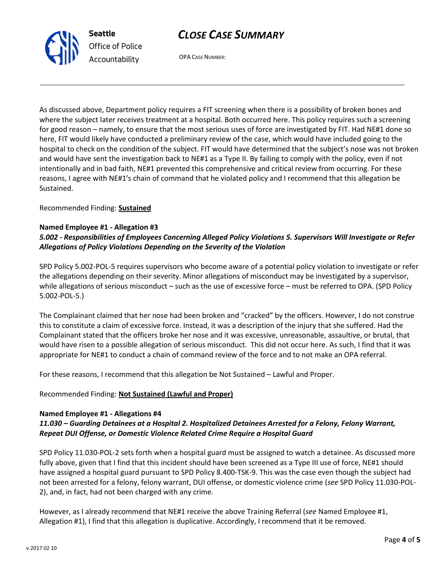

OPA CASE NUMBER:

As discussed above, Department policy requires a FIT screening when there is a possibility of broken bones and where the subject later receives treatment at a hospital. Both occurred here. This policy requires such a screening for good reason – namely, to ensure that the most serious uses of force are investigated by FIT. Had NE#1 done so here, FIT would likely have conducted a preliminary review of the case, which would have included going to the hospital to check on the condition of the subject. FIT would have determined that the subject's nose was not broken and would have sent the investigation back to NE#1 as a Type II. By failing to comply with the policy, even if not intentionally and in bad faith, NE#1 prevented this comprehensive and critical review from occurring. For these reasons, I agree with NE#1's chain of command that he violated policy and I recommend that this allegation be Sustained.

Recommended Finding: **Sustained**

## **Named Employee #1 - Allegation #3**

## *5.002 - Responsibilities of Employees Concerning Alleged Policy Violations 5. Supervisors Will Investigate or Refer Allegations of Policy Violations Depending on the Severity of the Violation*

SPD Policy 5.002-POL-5 requires supervisors who become aware of a potential policy violation to investigate or refer the allegations depending on their severity. Minor allegations of misconduct may be investigated by a supervisor, while allegations of serious misconduct – such as the use of excessive force – must be referred to OPA. (SPD Policy 5.002-POL-5.)

The Complainant claimed that her nose had been broken and "cracked" by the officers. However, I do not construe this to constitute a claim of excessive force. Instead, it was a description of the injury that she suffered. Had the Complainant stated that the officers broke her nose and it was excessive, unreasonable, assaultive, or brutal, that would have risen to a possible allegation of serious misconduct. This did not occur here. As such, I find that it was appropriate for NE#1 to conduct a chain of command review of the force and to not make an OPA referral.

For these reasons, I recommend that this allegation be Not Sustained – Lawful and Proper.

### Recommended Finding: **Not Sustained (Lawful and Proper)**

### **Named Employee #1 - Allegations #4**

## *11.030 – Guarding Detainees at a Hospital 2. Hospitalized Detainees Arrested for a Felony, Felony Warrant, Repeat DUI Offense, or Domestic Violence Related Crime Require a Hospital Guard*

SPD Policy 11.030-POL-2 sets forth when a hospital guard must be assigned to watch a detainee. As discussed more fully above, given that I find that this incident should have been screened as a Type III use of force, NE#1 should have assigned a hospital guard pursuant to SPD Policy 8.400-TSK-9. This was the case even though the subject had not been arrested for a felony, felony warrant, DUI offense, or domestic violence crime (*see* SPD Policy 11.030-POL-2), and, in fact, had not been charged with any crime.

However, as I already recommend that NE#1 receive the above Training Referral (*see* Named Employee #1, Allegation #1), I find that this allegation is duplicative. Accordingly, I recommend that it be removed.